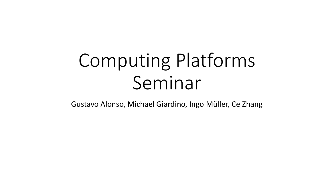# Computing Platforms Seminar

Gustavo Alonso, Michael Giardino, Ingo Müller, Ce Zhang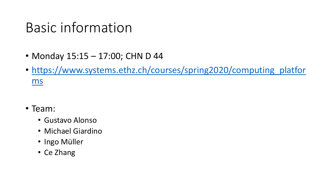## Basic information

- Monday 15:15 17:00; CHN D 44
- https://www.systems.ethz.ch/courses/spring2020/computing platfor ms
- Team:
	- Gustavo Alonso
	- Michael Giardino
	- Ingo Müller
	- Ce Zhang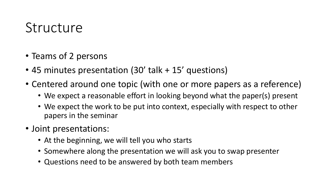#### Structure

- Teams of 2 persons
- 45 minutes presentation (30' talk + 15' questions)
- Centered around one topic (with one or more papers as a reference)
	- We expect a reasonable effort in looking beyond what the paper(s) present
	- We expect the work to be put into context, especially with respect to other papers in the seminar
- Joint presentations:
	- At the beginning, we will tell you who starts
	- Somewhere along the presentation we will ask you to swap presenter
	- Questions need to be answered by both team members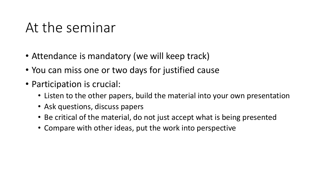### At the seminar

- Attendance is mandatory (we will keep track)
- You can miss one or two days for justified cause
- Participation is crucial:
	- Listen to the other papers, build the material into your own presentation
	- Ask questions, discuss papers
	- Be critical of the material, do not just accept what is being presented
	- Compare with other ideas, put the work into perspective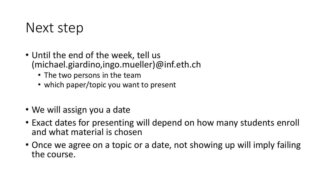#### Next step

- Until the end of the week, tell us (michael.giardino,ingo.mueller)@inf.eth.ch
	- The two persons in the team
	- which paper/topic you want to present
- We will assign you a date
- Exact dates for presenting will depend on how many students enroll and what material is chosen
- Once we agree on a topic or a date, not showing up will imply failing the course.